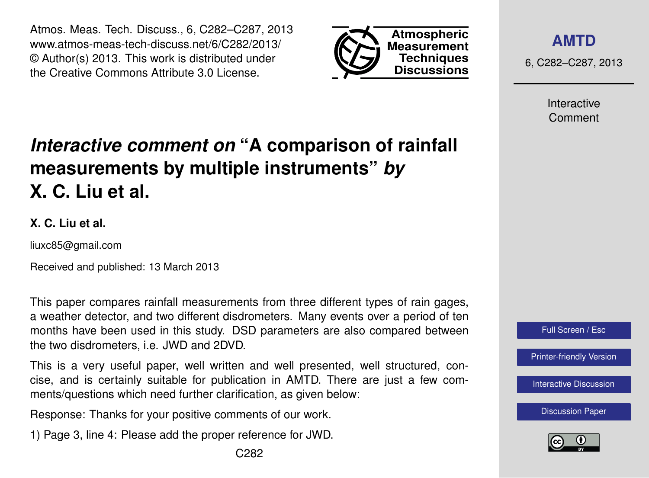Atmos. Meas. Tech. Discuss., 6, C282–C287, 2013 www.atmos-meas-tech-discuss.net/6/C282/2013/ © Author(s) 2013. This work is distributed under the Creative Commons Attribute 3.0 License.



**[AMTD](http://www.atmos-meas-tech-discuss.net)**

6, C282–C287, 2013

Interactive Comment

# *Interactive comment on* **"A comparison of rainfall measurements by multiple instruments"** *by* **X. C. Liu et al.**

#### **X. C. Liu et al.**

liuxc85@gmail.com

Received and published: 13 March 2013

This paper compares rainfall measurements from three different types of rain gages, a weather detector, and two different disdrometers. Many events over a period of ten months have been used in this study. DSD parameters are also compared between the two disdrometers, i.e. JWD and 2DVD.

This is a very useful paper, well written and well presented, well structured, concise, and is certainly suitable for publication in AMTD. There are just a few comments/questions which need further clarification, as given below:

Response: Thanks for your positive comments of our work.

1) Page 3, line 4: Please add the proper reference for JWD.

Full Screen / Esc

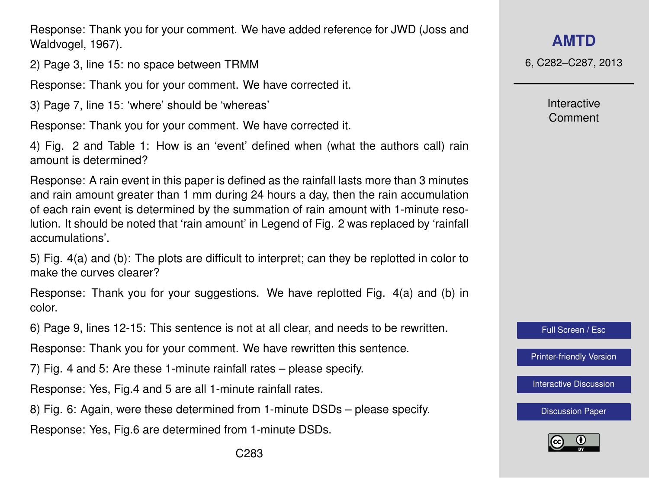Response: Thank you for your comment. We have added reference for JWD (Joss and Waldvogel, 1967).

2) Page 3, line 15: no space between TRMM

Response: Thank you for your comment. We have corrected it.

3) Page 7, line 15: 'where' should be 'whereas'

Response: Thank you for your comment. We have corrected it.

4) Fig. 2 and Table 1: How is an 'event' defined when (what the authors call) rain amount is determined?

Response: A rain event in this paper is defined as the rainfall lasts more than 3 minutes and rain amount greater than 1 mm during 24 hours a day, then the rain accumulation of each rain event is determined by the summation of rain amount with 1-minute resolution. It should be noted that 'rain amount' in Legend of Fig. 2 was replaced by 'rainfall accumulations'.

5) Fig. 4(a) and (b): The plots are difficult to interpret; can they be replotted in color to make the curves clearer?

Response: Thank you for your suggestions. We have replotted Fig. 4(a) and (b) in color.

6) Page 9, lines 12-15: This sentence is not at all clear, and needs to be rewritten.

Response: Thank you for your comment. We have rewritten this sentence.

7) Fig. 4 and 5: Are these 1-minute rainfall rates – please specify.

Response: Yes, Fig.4 and 5 are all 1-minute rainfall rates.

8) Fig. 6: Again, were these determined from 1-minute DSDs – please specify.

Response: Yes, Fig.6 are determined from 1-minute DSDs.

**[AMTD](http://www.atmos-meas-tech-discuss.net)**

6, C282–C287, 2013

Interactive Comment

Full Screen / Esc

[Printer-friendly Version](http://www.atmos-meas-tech-discuss.net/6/C282/2013/amtd-6-C282-2013-print.pdf)

[Interactive Discussion](http://www.atmos-meas-tech-discuss.net/6/519/2013/amtd-6-519-2013-discussion.html)

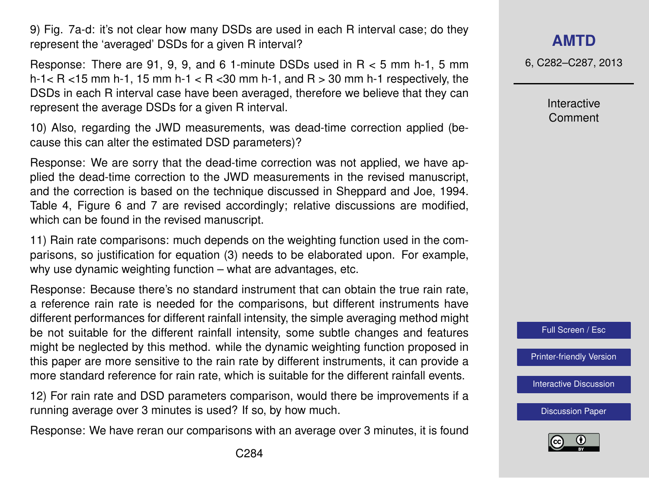9) Fig. 7a-d: it's not clear how many DSDs are used in each R interval case; do they represent the 'averaged' DSDs for a given R interval?

Response: There are 91, 9, 9, and 6 1-minute DSDs used in R < 5 mm h-1, 5 mm h-1 $<$  R  $<$  15 mm h-1, 15 mm h-1 $<$  R  $<$  30 mm h-1, and R  $>$  30 mm h-1 respectively, the DSDs in each R interval case have been averaged, therefore we believe that they can represent the average DSDs for a given R interval.

10) Also, regarding the JWD measurements, was dead-time correction applied (because this can alter the estimated DSD parameters)?

Response: We are sorry that the dead-time correction was not applied, we have applied the dead-time correction to the JWD measurements in the revised manuscript, and the correction is based on the technique discussed in Sheppard and Joe, 1994. Table 4, Figure 6 and 7 are revised accordingly; relative discussions are modified, which can be found in the revised manuscript.

11) Rain rate comparisons: much depends on the weighting function used in the comparisons, so justification for equation (3) needs to be elaborated upon. For example, why use dynamic weighting function – what are advantages, etc.

Response: Because there's no standard instrument that can obtain the true rain rate, a reference rain rate is needed for the comparisons, but different instruments have different performances for different rainfall intensity, the simple averaging method might be not suitable for the different rainfall intensity, some subtle changes and features might be neglected by this method. while the dynamic weighting function proposed in this paper are more sensitive to the rain rate by different instruments, it can provide a more standard reference for rain rate, which is suitable for the different rainfall events.

12) For rain rate and DSD parameters comparison, would there be improvements if a running average over 3 minutes is used? If so, by how much.

Response: We have reran our comparisons with an average over 3 minutes, it is found

6, C282–C287, 2013

Interactive Comment



[Printer-friendly Version](http://www.atmos-meas-tech-discuss.net/6/C282/2013/amtd-6-C282-2013-print.pdf)

[Interactive Discussion](http://www.atmos-meas-tech-discuss.net/6/519/2013/amtd-6-519-2013-discussion.html)

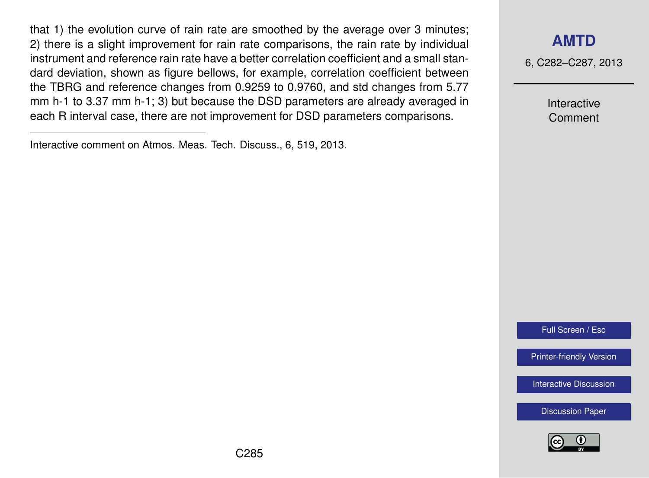that 1) the evolution curve of rain rate are smoothed by the average over 3 minutes; 2) there is a slight improvement for rain rate comparisons, the rain rate by individual instrument and reference rain rate have a better correlation coefficient and a small standard deviation, shown as figure bellows, for example, correlation coefficient between the TBRG and reference changes from 0.9259 to 0.9760, and std changes from 5.77 mm h-1 to 3.37 mm h-1; 3) but because the DSD parameters are already averaged in each R interval case, there are not improvement for DSD parameters comparisons.

### **[AMTD](http://www.atmos-meas-tech-discuss.net)**

6, C282–C287, 2013

Interactive Comment

Full Screen / Esc

[Printer-friendly Version](http://www.atmos-meas-tech-discuss.net/6/C282/2013/amtd-6-C282-2013-print.pdf)

[Interactive Discussion](http://www.atmos-meas-tech-discuss.net/6/519/2013/amtd-6-519-2013-discussion.html)



Interactive comment on Atmos. Meas. Tech. Discuss., 6, 519, 2013.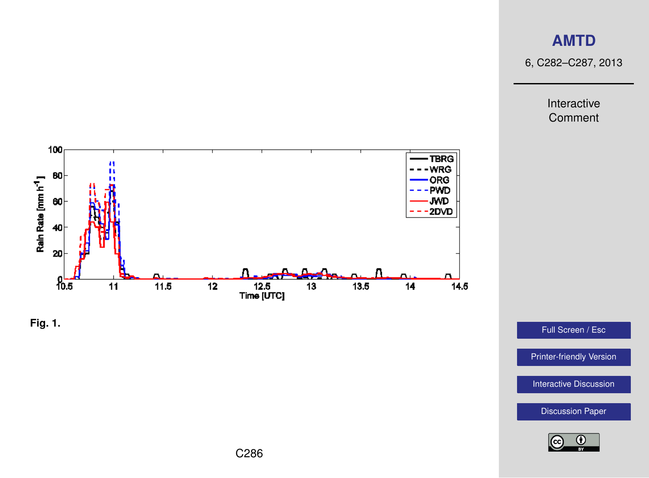## **[AMTD](http://www.atmos-meas-tech-discuss.net)**

6, C282–C287, 2013

Interactive Comment





Full Screen / Esc

[Printer-friendly Version](http://www.atmos-meas-tech-discuss.net/6/C282/2013/amtd-6-C282-2013-print.pdf)

[Interactive Discussion](http://www.atmos-meas-tech-discuss.net/6/519/2013/amtd-6-519-2013-discussion.html)